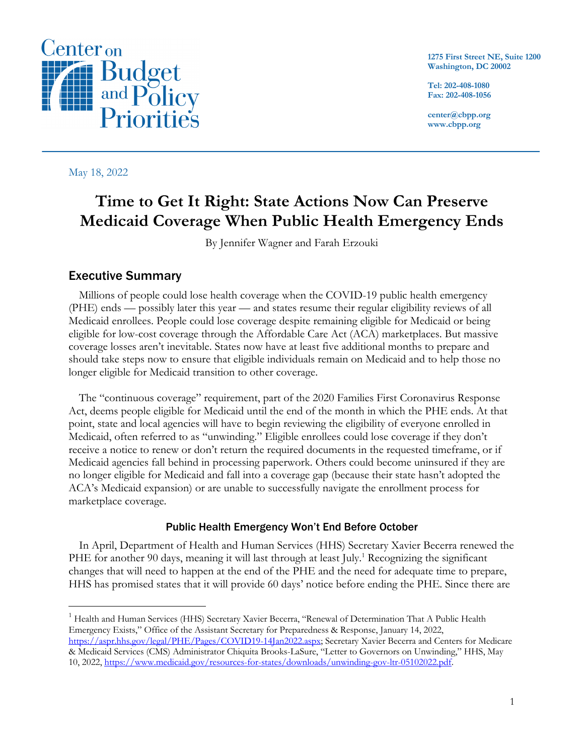

**1275 First Street NE, Suite 1200 Washington, DC 20002**

**Tel: 202-408-1080 Fax: 202-408-1056**

**center@cbpp.org www.cbpp.org**

May 18, 2022

# **Time to Get It Right: State Actions Now Can Preserve Medicaid Coverage When Public Health Emergency Ends**

By Jennifer Wagner and Farah Erzouki

## Executive Summary

Millions of people could lose health coverage when the COVID-19 public health emergency (PHE) ends — possibly later this year — and states resume their regular eligibility reviews of all Medicaid enrollees. People could lose coverage despite remaining eligible for Medicaid or being eligible for low-cost coverage through the Affordable Care Act (ACA) marketplaces. But massive coverage losses aren't inevitable. States now have at least five additional months to prepare and should take steps now to ensure that eligible individuals remain on Medicaid and to help those no longer eligible for Medicaid transition to other coverage.

The "continuous coverage" requirement, part of the 2020 Families First Coronavirus Response Act, deems people eligible for Medicaid until the end of the month in which the PHE ends. At that point, state and local agencies will have to begin reviewing the eligibility of everyone enrolled in Medicaid, often referred to as "unwinding." Eligible enrollees could lose coverage if they don't receive a notice to renew or don't return the required documents in the requested timeframe, or if Medicaid agencies fall behind in processing paperwork. Others could become uninsured if they are no longer eligible for Medicaid and fall into a coverage gap (because their state hasn't adopted the ACA's Medicaid expansion) or are unable to successfully navigate the enrollment process for marketplace coverage.

#### Public Health Emergency Won't End Before October

In April, Department of Health and Human Services (HHS) Secretary Xavier Becerra renewed the PHE for another 90 days, meaning it will last through at least July.<sup>1</sup> Recognizing the significant changes that will need to happen at the end of the PHE and the need for adequate time to prepare, HHS has promised states that it will provide 60 days' notice before ending the PHE. Since there are

<sup>1</sup> Health and Human Services (HHS) Secretary Xavier Becerra, "Renewal of Determination That A Public Health Emergency Exists," Office of the Assistant Secretary for Preparedness & Response, January 14, 2022, https://aspr.hhs.gov/legal/PHE/Pages/COVID19-14Jan2022.aspx; Secretary Xavier Becerra and Centers for Medicare

<sup>&</sup>amp; Medicaid Services (CMS) Administrator Chiquita Brooks-LaSure, "Letter to Governors on Unwinding," HHS, May 10, 2022, https://www.medicaid.gov/resources-for-states/downloads/unwinding-gov-ltr-05102022.pdf.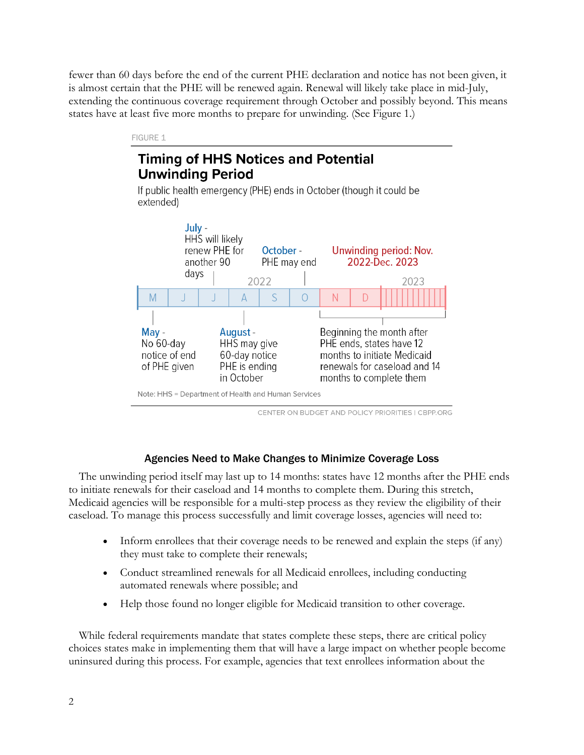fewer than 60 days before the end of the current PHE declaration and notice has not been given, it is almost certain that the PHE will be renewed again. Renewal will likely take place in mid-July, extending the continuous coverage requirement through October and possibly beyond. This means states have at least five more months to prepare for unwinding. (See Figure 1.)

#### FIGURE 1

## **Timing of HHS Notices and Potential Unwinding Period**

If public health emergency (PHE) ends in October (though it could be extended)



CENTER ON BUDGET AND POLICY PRIORITIES | CBPP.ORG

#### Agencies Need to Make Changes to Minimize Coverage Loss

The unwinding period itself may last up to 14 months: states have 12 months after the PHE ends to initiate renewals for their caseload and 14 months to complete them. During this stretch, Medicaid agencies will be responsible for a multi-step process as they review the eligibility of their caseload. To manage this process successfully and limit coverage losses, agencies will need to:

- Inform enrollees that their coverage needs to be renewed and explain the steps (if any) they must take to complete their renewals;
- Conduct streamlined renewals for all Medicaid enrollees, including conducting automated renewals where possible; and
- Help those found no longer eligible for Medicaid transition to other coverage.

While federal requirements mandate that states complete these steps, there are critical policy choices states make in implementing them that will have a large impact on whether people become uninsured during this process. For example, agencies that text enrollees information about the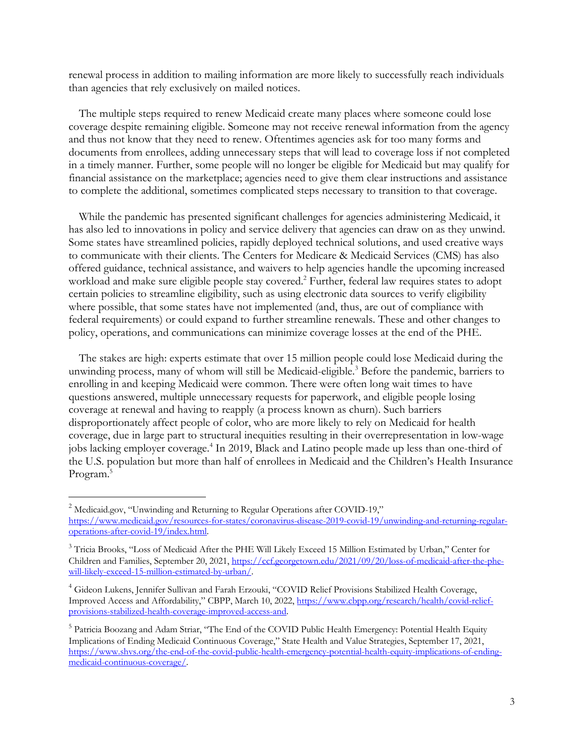renewal process in addition to mailing information are more likely to successfully reach individuals than agencies that rely exclusively on mailed notices.

The multiple steps required to renew Medicaid create many places where someone could lose coverage despite remaining eligible. Someone may not receive renewal information from the agency and thus not know that they need to renew. Oftentimes agencies ask for too many forms and documents from enrollees, adding unnecessary steps that will lead to coverage loss if not completed in a timely manner. Further, some people will no longer be eligible for Medicaid but may qualify for financial assistance on the marketplace; agencies need to give them clear instructions and assistance to complete the additional, sometimes complicated steps necessary to transition to that coverage.

While the pandemic has presented significant challenges for agencies administering Medicaid, it has also led to innovations in policy and service delivery that agencies can draw on as they unwind. Some states have streamlined policies, rapidly deployed technical solutions, and used creative ways to communicate with their clients. The Centers for Medicare & Medicaid Services (CMS) has also offered guidance, technical assistance, and waivers to help agencies handle the upcoming increased workload and make sure eligible people stay covered. <sup>2</sup> Further, federal law requires states to adopt certain policies to streamline eligibility, such as using electronic data sources to verify eligibility where possible, that some states have not implemented (and, thus, are out of compliance with federal requirements) or could expand to further streamline renewals. These and other changes to policy, operations, and communications can minimize coverage losses at the end of the PHE.

The stakes are high: experts estimate that over 15 million people could lose Medicaid during the unwinding process, many of whom will still be Medicaid-eligible.<sup>3</sup> Before the pandemic, barriers to enrolling in and keeping Medicaid were common. There were often long wait times to have questions answered, multiple unnecessary requests for paperwork, and eligible people losing coverage at renewal and having to reapply (a process known as churn). Such barriers disproportionately affect people of color, who are more likely to rely on Medicaid for health coverage, due in large part to structural inequities resulting in their overrepresentation in low-wage jobs lacking employer coverage. <sup>4</sup> In 2019, Black and Latino people made up less than one-third of the U.S. population but more than half of enrollees in Medicaid and the Children's Health Insurance Program.<sup>5</sup>

<sup>&</sup>lt;sup>2</sup> Medicaid.gov, "Unwinding and Returning to Regular Operations after COVID-19," https://www.medicaid.gov/resources-for-states/coronavirus-disease-2019-covid-19/unwinding-and-returning-regularoperations-after-covid-19/index.html.

<sup>&</sup>lt;sup>3</sup> Tricia Brooks, "Loss of Medicaid After the PHE Will Likely Exceed 15 Million Estimated by Urban," Center for Children and Families, September 20, 2021, https://ccf.georgetown.edu/2021/09/20/loss-of-medicaid-after-the-phewill-likely-exceed-15-million-estimated-by-urban/.

<sup>4</sup> Gideon Lukens, Jennifer Sullivan and Farah Erzouki, "COVID Relief Provisions Stabilized Health Coverage, Improved Access and Affordability," CBPP, March 10, 2022, https://www.cbpp.org/research/health/covid-reliefprovisions-stabilized-health-coverage-improved-access-and.

<sup>&</sup>lt;sup>5</sup> Patricia Boozang and Adam Striar, "The End of the COVID Public Health Emergency: Potential Health Equity Implications of Ending Medicaid Continuous Coverage," State Health and Value Strategies, September 17, 2021, https://www.shvs.org/the-end-of-the-covid-public-health-emergency-potential-health-equity-implications-of-endingmedicaid-continuous-coverage/.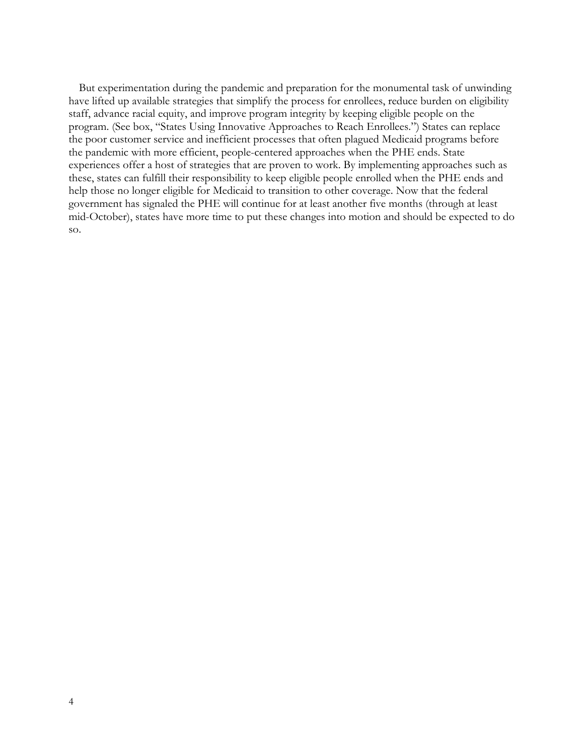But experimentation during the pandemic and preparation for the monumental task of unwinding have lifted up available strategies that simplify the process for enrollees, reduce burden on eligibility staff, advance racial equity, and improve program integrity by keeping eligible people on the program. (See box, "States Using Innovative Approaches to Reach Enrollees.") States can replace the poor customer service and inefficient processes that often plagued Medicaid programs before the pandemic with more efficient, people-centered approaches when the PHE ends. State experiences offer a host of strategies that are proven to work. By implementing approaches such as these, states can fulfill their responsibility to keep eligible people enrolled when the PHE ends and help those no longer eligible for Medicaid to transition to other coverage. Now that the federal government has signaled the PHE will continue for at least another five months (through at least mid-October), states have more time to put these changes into motion and should be expected to do so.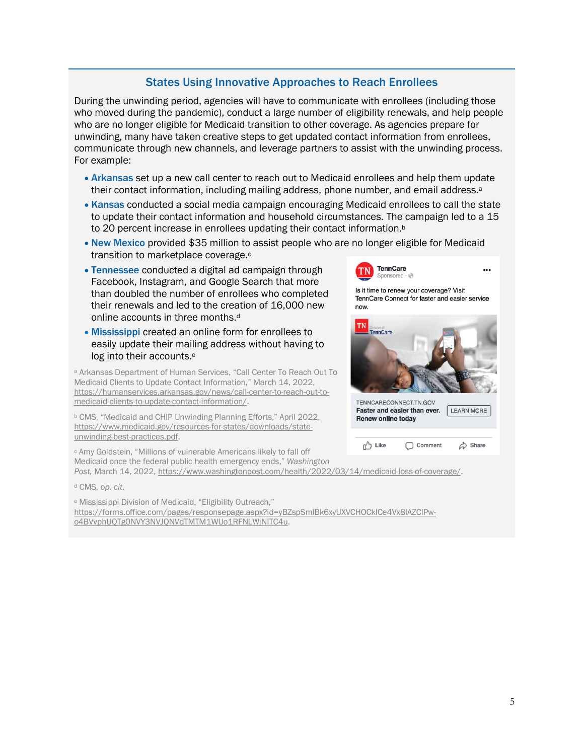## States Using Innovative Approaches to Reach Enrollees

During the unwinding period, agencies will have to communicate with enrollees (including those who moved during the pandemic), conduct a large number of eligibility renewals, and help people who are no longer eligible for Medicaid transition to other coverage. As agencies prepare for unwinding, many have taken creative steps to get updated contact information from enrollees, communicate through new channels, and leverage partners to assist with the unwinding process. For example:

- Arkansas set up a new call center to reach out to Medicaid enrollees and help them update their contact information, including mailing address, phone number, and email address.<sup>a</sup>
- Kansas conducted a social media campaign encouraging Medicaid enrollees to call the state to update their contact information and household circumstances. The campaign led to a 15 to 20 percent increase in enrollees updating their contact information.<sup>b</sup>
- New Mexico provided \$35 million to assist people who are no longer eligible for Medicaid transition to marketplace coverage.<sup>c</sup>
- Tennessee conducted a digital ad campaign through Facebook, Instagram, and Google Search that more than doubled the number of enrollees who completed their renewals and led to the creation of 16,000 new online accounts in three months.<sup>d</sup>
- Mississippi created an online form for enrollees to easily update their mailing address without having to log into their accounts.<sup>e</sup>

<sup>a</sup> Arkansas Department of Human Services, "Call Center To Reach Out To Medicaid Clients to Update Contact Information," March 14, 2022, https://humanservices.arkansas.gov/news/call-center-to-reach-out-tomedicaid-clients-to-update-contact-information/.

<sup>b</sup> CMS, "Medicaid and CHIP Unwinding Planning Efforts," April 2022, https://www.medicaid.gov/resources-for-states/downloads/stateunwinding-best-practices.pdf.

<sup>c</sup> Amy Goldstein, "Millions of vulnerable Americans likely to fall off Medicaid once the federal public health emergency ends," *Washington* 

*Post,* March 14, 2022, https://www.washingtonpost.com/health/2022/03/14/medicaid-loss-of-coverage/.

<sup>d</sup> CMS, *op. cit*.

<sup>e</sup> Mississippi Division of Medicaid, "Eligibility Outreach," https://forms.office.com/pages/responsepage.aspx?id=yBZspSmlBk6xyUXVCHOCklCe4Vx8lAZClPwo4BVvphUQTg0NVY3NVJQNVdTMTM1WUo1RFNLWjNITC4u.

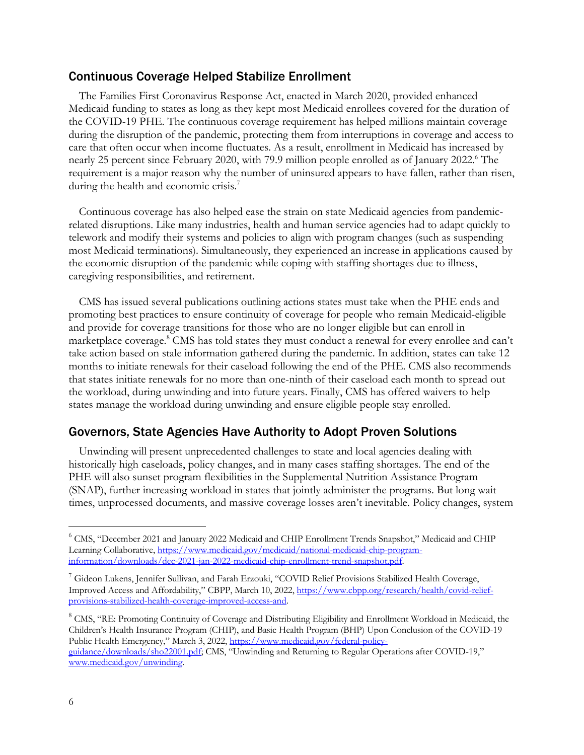#### Continuous Coverage Helped Stabilize Enrollment

The Families First Coronavirus Response Act, enacted in March 2020, provided enhanced Medicaid funding to states as long as they kept most Medicaid enrollees covered for the duration of the COVID-19 PHE. The continuous coverage requirement has helped millions maintain coverage during the disruption of the pandemic, protecting them from interruptions in coverage and access to care that often occur when income fluctuates. As a result, enrollment in Medicaid has increased by nearly 25 percent since February 2020, with 79.9 million people enrolled as of January 2022. <sup>6</sup> The requirement is a major reason why the number of uninsured appears to have fallen, rather than risen, during the health and economic crisis.<sup>7</sup>

Continuous coverage has also helped ease the strain on state Medicaid agencies from pandemicrelated disruptions. Like many industries, health and human service agencies had to adapt quickly to telework and modify their systems and policies to align with program changes (such as suspending most Medicaid terminations). Simultaneously, they experienced an increase in applications caused by the economic disruption of the pandemic while coping with staffing shortages due to illness, caregiving responsibilities, and retirement.

CMS has issued several publications outlining actions states must take when the PHE ends and promoting best practices to ensure continuity of coverage for people who remain Medicaid-eligible and provide for coverage transitions for those who are no longer eligible but can enroll in marketplace coverage.<sup>8</sup> CMS has told states they must conduct a renewal for every enrollee and can't take action based on stale information gathered during the pandemic. In addition, states can take 12 months to initiate renewals for their caseload following the end of the PHE. CMS also recommends that states initiate renewals for no more than one-ninth of their caseload each month to spread out the workload, during unwinding and into future years. Finally, CMS has offered waivers to help states manage the workload during unwinding and ensure eligible people stay enrolled.

## Governors, State Agencies Have Authority to Adopt Proven Solutions

Unwinding will present unprecedented challenges to state and local agencies dealing with historically high caseloads, policy changes, and in many cases staffing shortages. The end of the PHE will also sunset program flexibilities in the Supplemental Nutrition Assistance Program (SNAP), further increasing workload in states that jointly administer the programs. But long wait times, unprocessed documents, and massive coverage losses aren't inevitable. Policy changes, system

<sup>6</sup> CMS, "December 2021 and January 2022 Medicaid and CHIP Enrollment Trends Snapshot," Medicaid and CHIP Learning Collaborative, https://www.medicaid.gov/medicaid/national-medicaid-chip-programinformation/downloads/dec-2021-jan-2022-medicaid-chip-enrollment-trend-snapshot.pdf.

 $^7$  Gideon Lukens, Jennifer Sullivan, and Farah Erzouki, "COVID Relief Provisions Stabilized Health Coverage, Improved Access and Affordability," CBPP, March 10, 2022, https://www.cbpp.org/research/health/covid-reliefprovisions-stabilized-health-coverage-improved-access-and.

<sup>&</sup>lt;sup>8</sup> CMS, "RE: Promoting Continuity of Coverage and Distributing Eligibility and Enrollment Workload in Medicaid, the Children's Health Insurance Program (CHIP), and Basic Health Program (BHP) Upon Conclusion of the COVID-19 Public Health Emergency," March 3, 2022, https://www.medicaid.gov/federal-policyguidance/downloads/sho22001.pdf; CMS, "Unwinding and Returning to Regular Operations after COVID-19," www.medicaid.gov/unwinding.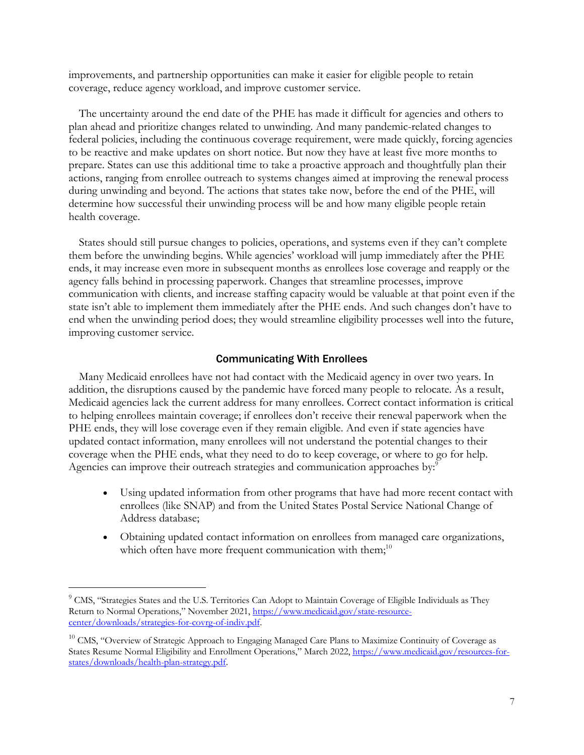improvements, and partnership opportunities can make it easier for eligible people to retain coverage, reduce agency workload, and improve customer service.

The uncertainty around the end date of the PHE has made it difficult for agencies and others to plan ahead and prioritize changes related to unwinding. And many pandemic-related changes to federal policies, including the continuous coverage requirement, were made quickly, forcing agencies to be reactive and make updates on short notice. But now they have at least five more months to prepare. States can use this additional time to take a proactive approach and thoughtfully plan their actions, ranging from enrollee outreach to systems changes aimed at improving the renewal process during unwinding and beyond. The actions that states take now, before the end of the PHE, will determine how successful their unwinding process will be and how many eligible people retain health coverage.

States should still pursue changes to policies, operations, and systems even if they can't complete them before the unwinding begins. While agencies' workload will jump immediately after the PHE ends, it may increase even more in subsequent months as enrollees lose coverage and reapply or the agency falls behind in processing paperwork. Changes that streamline processes, improve communication with clients, and increase staffing capacity would be valuable at that point even if the state isn't able to implement them immediately after the PHE ends. And such changes don't have to end when the unwinding period does; they would streamline eligibility processes well into the future, improving customer service.

#### Communicating With Enrollees

Many Medicaid enrollees have not had contact with the Medicaid agency in over two years. In addition, the disruptions caused by the pandemic have forced many people to relocate. As a result, Medicaid agencies lack the current address for many enrollees. Correct contact information is critical to helping enrollees maintain coverage; if enrollees don't receive their renewal paperwork when the PHE ends, they will lose coverage even if they remain eligible. And even if state agencies have updated contact information, many enrollees will not understand the potential changes to their coverage when the PHE ends, what they need to do to keep coverage, or where to go for help. Agencies can improve their outreach strategies and communication approaches by:<sup>9</sup>

- Using updated information from other programs that have had more recent contact with enrollees (like SNAP) and from the United States Postal Service National Change of Address database;
- Obtaining updated contact information on enrollees from managed care organizations, which often have more frequent communication with them;<sup>10</sup>

<sup>&</sup>lt;sup>9</sup> CMS, "Strategies States and the U.S. Territories Can Adopt to Maintain Coverage of Eligible Individuals as They Return to Normal Operations," November 2021, https://www.medicaid.gov/state-resourcecenter/downloads/strategies-for-covrg-of-indiv.pdf.

<sup>&</sup>lt;sup>10</sup> CMS, "Overview of Strategic Approach to Engaging Managed Care Plans to Maximize Continuity of Coverage as States Resume Normal Eligibility and Enrollment Operations," March 2022, https://www.medicaid.gov/resources-forstates/downloads/health-plan-strategy.pdf.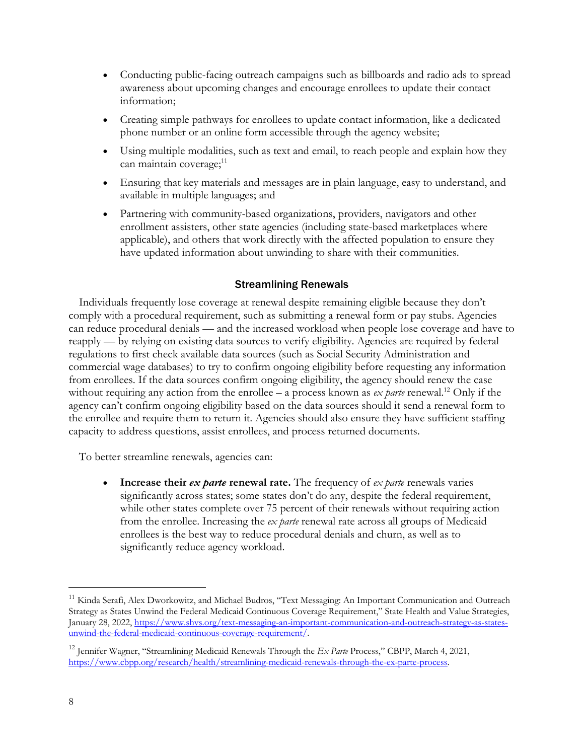- Conducting public-facing outreach campaigns such as billboards and radio ads to spread awareness about upcoming changes and encourage enrollees to update their contact information;
- Creating simple pathways for enrollees to update contact information, like a dedicated phone number or an online form accessible through the agency website;
- Using multiple modalities, such as text and email, to reach people and explain how they can maintain coverage;<sup>11</sup>
- Ensuring that key materials and messages are in plain language, easy to understand, and available in multiple languages; and
- Partnering with community-based organizations, providers, navigators and other enrollment assisters, other state agencies (including state-based marketplaces where applicable), and others that work directly with the affected population to ensure they have updated information about unwinding to share with their communities.

## Streamlining Renewals

Individuals frequently lose coverage at renewal despite remaining eligible because they don't comply with a procedural requirement, such as submitting a renewal form or pay stubs. Agencies can reduce procedural denials — and the increased workload when people lose coverage and have to reapply — by relying on existing data sources to verify eligibility. Agencies are required by federal regulations to first check available data sources (such as Social Security Administration and commercial wage databases) to try to confirm ongoing eligibility before requesting any information from enrollees. If the data sources confirm ongoing eligibility, the agency should renew the case without requiring any action from the enrollee – a process known as *ex parte* renewal.<sup>12</sup> Only if the agency can't confirm ongoing eligibility based on the data sources should it send a renewal form to the enrollee and require them to return it. Agencies should also ensure they have sufficient staffing capacity to address questions, assist enrollees, and process returned documents.

To better streamline renewals, agencies can:

• **Increase their** *ex parte* **renewal rate.** The frequency of *ex parte* renewals varies significantly across states; some states don't do any, despite the federal requirement, while other states complete over 75 percent of their renewals without requiring action from the enrollee. Increasing the *ex parte* renewal rate across all groups of Medicaid enrollees is the best way to reduce procedural denials and churn, as well as to significantly reduce agency workload.

<sup>&</sup>lt;sup>11</sup> Kinda Serafi, Alex Dworkowitz, and Michael Budros, "Text Messaging: An Important Communication and Outreach Strategy as States Unwind the Federal Medicaid Continuous Coverage Requirement," State Health and Value Strategies, January 28, 2022, https://www.shvs.org/text-messaging-an-important-communication-and-outreach-strategy-as-statesunwind-the-federal-medicaid-continuous-coverage-requirement/.

<sup>12</sup> Jennifer Wagner, "Streamlining Medicaid Renewals Through the *Ex Parte* Process," CBPP, March 4, 2021, https://www.cbpp.org/research/health/streamlining-medicaid-renewals-through-the-ex-parte-process.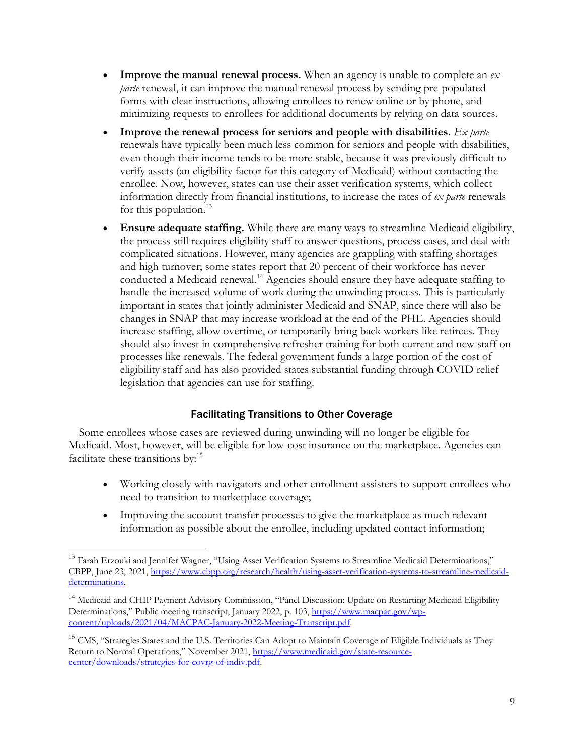- **Improve the manual renewal process.** When an agency is unable to complete an *ex parte* renewal, it can improve the manual renewal process by sending pre-populated forms with clear instructions, allowing enrollees to renew online or by phone, and minimizing requests to enrollees for additional documents by relying on data sources.
- **Improve the renewal process for seniors and people with disabilities.** *Ex parte*  renewals have typically been much less common for seniors and people with disabilities, even though their income tends to be more stable, because it was previously difficult to verify assets (an eligibility factor for this category of Medicaid) without contacting the enrollee. Now, however, states can use their asset verification systems, which collect information directly from financial institutions, to increase the rates of *ex parte* renewals for this population.<sup>13</sup>
- **Ensure adequate staffing.** While there are many ways to streamline Medicaid eligibility, the process still requires eligibility staff to answer questions, process cases, and deal with complicated situations. However, many agencies are grappling with staffing shortages and high turnover; some states report that 20 percent of their workforce has never conducted a Medicaid renewal.<sup>14</sup> Agencies should ensure they have adequate staffing to handle the increased volume of work during the unwinding process. This is particularly important in states that jointly administer Medicaid and SNAP, since there will also be changes in SNAP that may increase workload at the end of the PHE. Agencies should increase staffing, allow overtime, or temporarily bring back workers like retirees. They should also invest in comprehensive refresher training for both current and new staff on processes like renewals. The federal government funds a large portion of the cost of eligibility staff and has also provided states substantial funding through COVID relief legislation that agencies can use for staffing.

## Facilitating Transitions to Other Coverage

Some enrollees whose cases are reviewed during unwinding will no longer be eligible for Medicaid. Most, however, will be eligible for low-cost insurance on the marketplace. Agencies can facilitate these transitions by:<sup>15</sup>

- Working closely with navigators and other enrollment assisters to support enrollees who need to transition to marketplace coverage;
- Improving the account transfer processes to give the marketplace as much relevant information as possible about the enrollee, including updated contact information;

<sup>&</sup>lt;sup>13</sup> Farah Erzouki and Jennifer Wagner, "Using Asset Verification Systems to Streamline Medicaid Determinations," CBPP, June 23, 2021, https://www.cbpp.org/research/health/using-asset-verification-systems-to-streamline-medicaiddeterminations.

<sup>&</sup>lt;sup>14</sup> Medicaid and CHIP Payment Advisory Commission, "Panel Discussion: Update on Restarting Medicaid Eligibility Determinations," Public meeting transcript, January 2022, p. 103, https://www.macpac.gov/wpcontent/uploads/2021/04/MACPAC-January-2022-Meeting-Transcript.pdf.

<sup>&</sup>lt;sup>15</sup> CMS, "Strategies States and the U.S. Territories Can Adopt to Maintain Coverage of Eligible Individuals as They Return to Normal Operations," November 2021, https://www.medicaid.gov/state-resourcecenter/downloads/strategies-for-covrg-of-indiv.pdf.